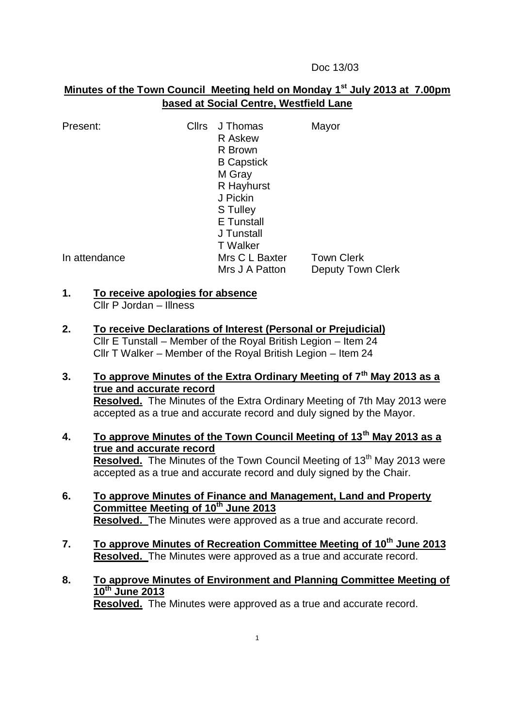Doc 13/03

# **Minutes of the Town Council Meeting held on Monday 1 st July 2013 at 7.00pm based at Social Centre, Westfield Lane**

| Present:      | Cllrs | J Thomas<br>R Askew<br>R Brown<br><b>B</b> Capstick<br>M Gray<br>R Hayhurst | Mayor                    |
|---------------|-------|-----------------------------------------------------------------------------|--------------------------|
|               |       | J Pickin                                                                    |                          |
|               |       | S Tulley                                                                    |                          |
|               |       | <b>E</b> Tunstall                                                           |                          |
|               |       | J Tunstall                                                                  |                          |
|               |       | <b>T</b> Walker                                                             |                          |
| In attendance |       | Mrs C L Baxter                                                              | <b>Town Clerk</b>        |
|               |       | Mrs J A Patton                                                              | <b>Deputy Town Clerk</b> |

#### **1. To receive apologies for absence** Cllr P Jordan – Illness

- 
- **2. To receive Declarations of Interest (Personal or Prejudicial)** Cllr E Tunstall – Member of the Royal British Legion – Item 24 Cllr T Walker – Member of the Royal British Legion – Item 24
- **3. To approve Minutes of the Extra Ordinary Meeting of 7th May 2013 as a true and accurate record Resolved.** The Minutes of the Extra Ordinary Meeting of 7th May 2013 were accepted as a true and accurate record and duly signed by the Mayor.
- **4. To approve Minutes of the Town Council Meeting of 13th May 2013 as a true and accurate record Resolved.** The Minutes of the Town Council Meeting of 13<sup>th</sup> May 2013 were accepted as a true and accurate record and duly signed by the Chair.
- **6. To approve Minutes of Finance and Management, Land and Property Committee Meeting of 10th June 2013 Resolved.** The Minutes were approved as a true and accurate record.
- **7. To approve Minutes of Recreation Committee Meeting of 10th June 2013 Resolved.** The Minutes were approved as a true and accurate record.
- **8. To approve Minutes of Environment and Planning Committee Meeting of 10th June 2013 Resolved.** The Minutes were approved as a true and accurate record.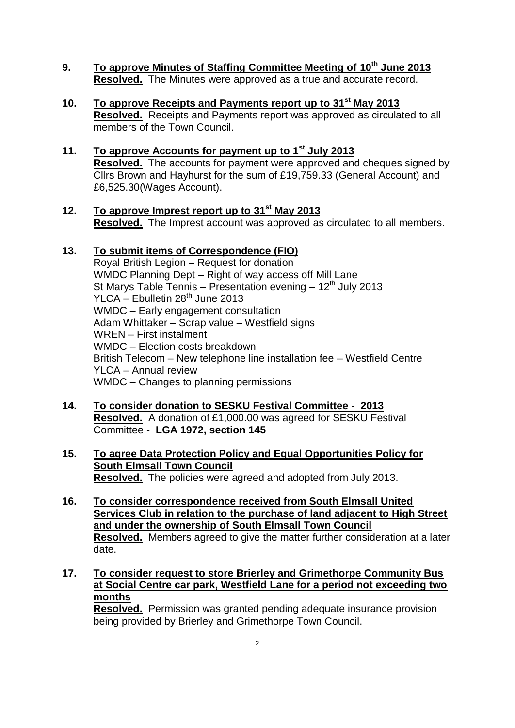- **9. To approve Minutes of Staffing Committee Meeting of 10th June 2013 Resolved.** The Minutes were approved as a true and accurate record.
- **10. To approve Receipts and Payments report up to 31st May 2013 Resolved.** Receipts and Payments report was approved as circulated to all members of the Town Council.
- **11. To approve Accounts for payment up to 1st July 2013 Resolved.** The accounts for payment were approved and cheques signed by Cllrs Brown and Hayhurst for the sum of £19,759.33 (General Account) and £6,525.30(Wages Account).
- **12. To approve Imprest report up to 31st May 2013 Resolved.** The Imprest account was approved as circulated to all members.

## **13. To submit items of Correspondence (FIO)**

Royal British Legion – Request for donation WMDC Planning Dept – Right of way access off Mill Lane St Marys Table Tennis – Presentation evening –  $12<sup>th</sup>$  July 2013  $YLCA -$  Ebulletin 28<sup>th</sup> June 2013 WMDC – Early engagement consultation Adam Whittaker – Scrap value – Westfield signs WREN – First instalment WMDC – Election costs breakdown British Telecom – New telephone line installation fee – Westfield Centre YLCA – Annual review WMDC – Changes to planning permissions

- **14. To consider donation to SESKU Festival Committee 2013 Resolved.** A donation of £1,000.00 was agreed for SESKU Festival Committee - **LGA 1972, section 145**
- **15. To agree Data Protection Policy and Equal Opportunities Policy for South Elmsall Town Council Resolved.** The policies were agreed and adopted from July 2013.
- **16. To consider correspondence received from South Elmsall United Services Club in relation to the purchase of land adjacent to High Street and under the ownership of South Elmsall Town Council Resolved.** Members agreed to give the matter further consideration at a later date.
- **17. To consider request to store Brierley and Grimethorpe Community Bus at Social Centre car park, Westfield Lane for a period not exceeding two months**

**Resolved.** Permission was granted pending adequate insurance provision being provided by Brierley and Grimethorpe Town Council.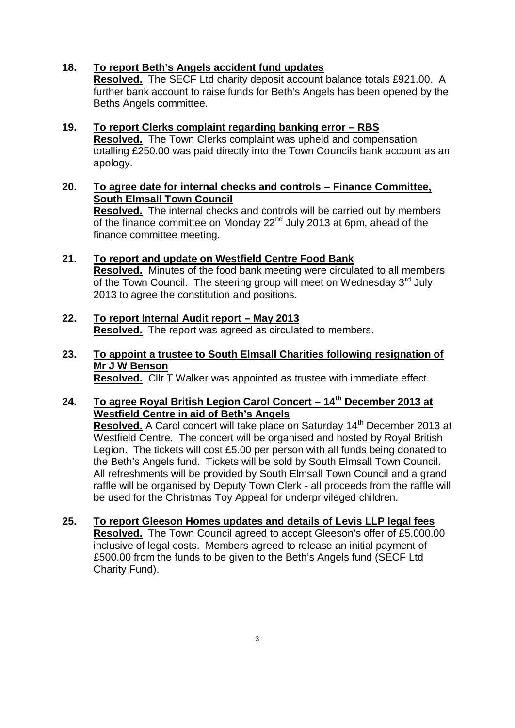### **18. To report Beth's Angels accident fund updates**

**Resolved.** The SECF Ltd charity deposit account balance totals £921.00. A further bank account to raise funds for Beth's Angels has been opened by the Beths Angels committee.

- **19. To report Clerks complaint regarding banking error – RBS Resolved.** The Town Clerks complaint was upheld and compensation totalling £250.00 was paid directly into the Town Councils bank account as an apology.
- **20. To agree date for internal checks and controls – Finance Committee, South Elmsall Town Council**

**Resolved.** The internal checks and controls will be carried out by members of the finance committee on Monday 22<sup>nd</sup> July 2013 at 6pm, ahead of the finance committee meeting.

- **21. To report and update on Westfield Centre Food Bank Resolved.** Minutes of the food bank meeting were circulated to all members of the Town Council. The steering group will meet on Wednesday 3<sup>rd</sup> July 2013 to agree the constitution and positions.
- **22. To report Internal Audit report – May 2013 Resolved.** The report was agreed as circulated to members.
- **23. To appoint a trustee to South Elmsall Charities following resignation of Mr J W Benson Resolved.** Cllr T Walker was appointed as trustee with immediate effect.

## **24. To agree Royal British Legion Carol Concert – 14th December 2013 at Westfield Centre in aid of Beth's Angels**

Resolved. A Carol concert will take place on Saturday 14<sup>th</sup> December 2013 at Westfield Centre. The concert will be organised and hosted by Royal British Legion. The tickets will cost £5.00 per person with all funds being donated to the Beth's Angels fund. Tickets will be sold by South Elmsall Town Council. All refreshments will be provided by South Elmsall Town Council and a grand raffle will be organised by Deputy Town Clerk - all proceeds from the raffle will be used for the Christmas Toy Appeal for underprivileged children.

**25. To report Gleeson Homes updates and details of Levis LLP legal fees Resolved.** The Town Council agreed to accept Gleeson's offer of £5,000.00 inclusive of legal costs. Members agreed to release an initial payment of £500.00 from the funds to be given to the Beth's Angels fund (SECF Ltd Charity Fund).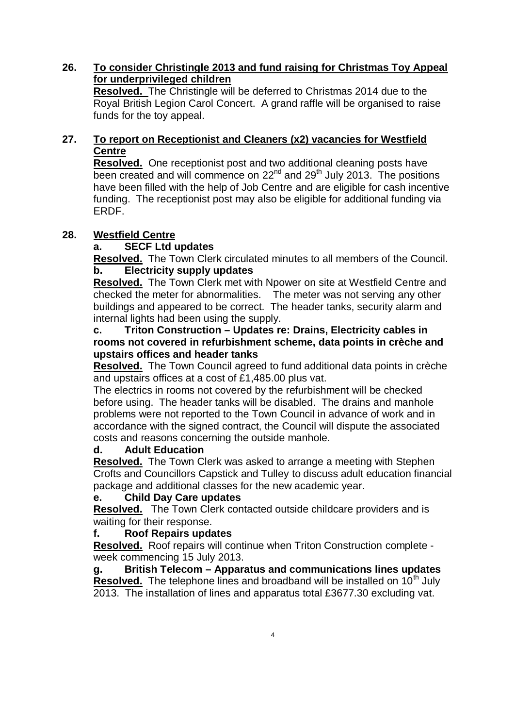## **26. To consider Christingle 2013 and fund raising for Christmas Toy Appeal for underprivileged children**

**Resolved.** The Christingle will be deferred to Christmas 2014 due to the Royal British Legion Carol Concert. A grand raffle will be organised to raise funds for the toy appeal.

# **27. To report on Receptionist and Cleaners (x2) vacancies for Westfield Centre**

**Resolved.** One receptionist post and two additional cleaning posts have been created and will commence on  $22^{nd}$  and  $29^{th}$  July 2013. The positions have been filled with the help of Job Centre and are eligible for cash incentive funding. The receptionist post may also be eligible for additional funding via ERDF.

# **28. Westfield Centre**

## **a. SECF Ltd updates**

**Resolved.** The Town Clerk circulated minutes to all members of the Council. **b. Electricity supply updates**

**Resolved.** The Town Clerk met with Npower on site at Westfield Centre and checked the meter for abnormalities. The meter was not serving any other buildings and appeared to be correct. The header tanks, security alarm and internal lights had been using the supply.

### **c. Triton Construction – Updates re: Drains, Electricity cables in rooms not covered in refurbishment scheme, data points in crèche and upstairs offices and header tanks**

**Resolved.** The Town Council agreed to fund additional data points in crèche and upstairs offices at a cost of £1,485.00 plus vat.

The electrics in rooms not covered by the refurbishment will be checked before using. The header tanks will be disabled. The drains and manhole problems were not reported to the Town Council in advance of work and in accordance with the signed contract, the Council will dispute the associated costs and reasons concerning the outside manhole.

# **d. Adult Education**

**Resolved.** The Town Clerk was asked to arrange a meeting with Stephen Crofts and Councillors Capstick and Tulley to discuss adult education financial package and additional classes for the new academic year.

### **e. Child Day Care updates**

**Resolved.** The Town Clerk contacted outside childcare providers and is waiting for their response.

### **f. Roof Repairs updates**

**Resolved.** Roof repairs will continue when Triton Construction complete week commencing 15 July 2013.

**g. British Telecom – Apparatus and communications lines updates Resolved.** The telephone lines and broadband will be installed on 10<sup>th</sup> July 2013. The installation of lines and apparatus total £3677.30 excluding vat.